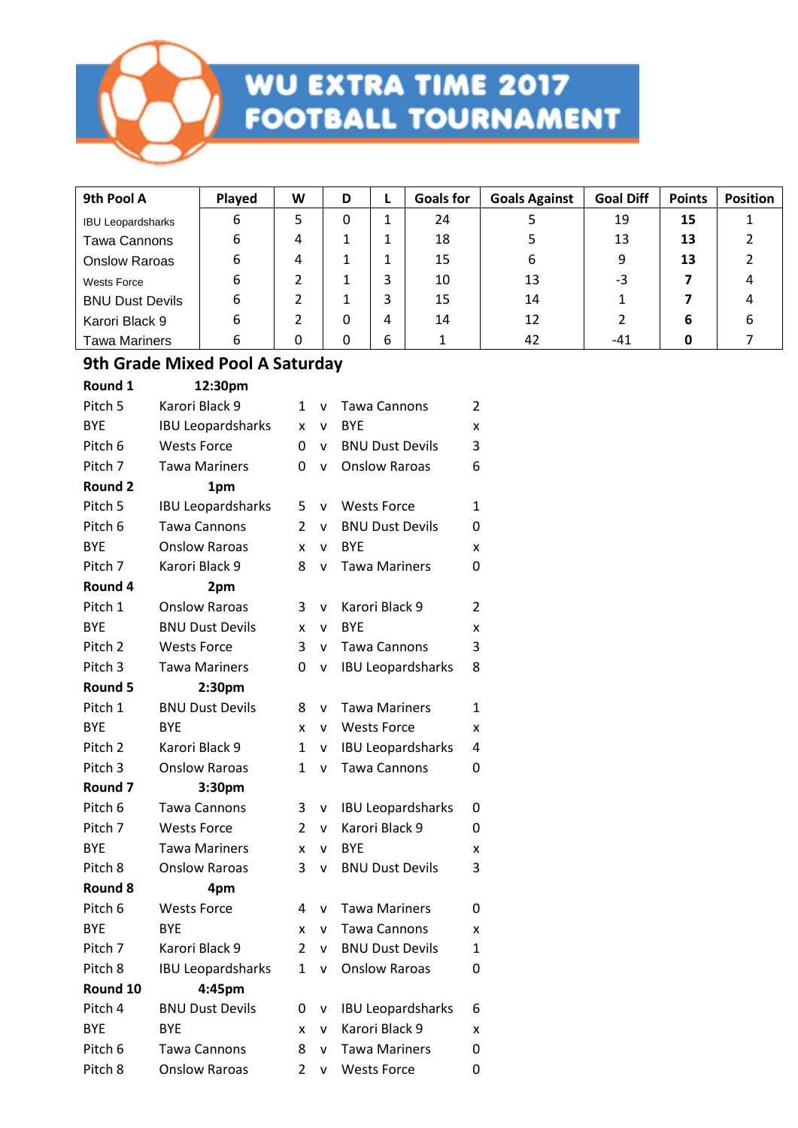

| 9th Pool A               | Played | W | D |   | <b>Goals for</b> | <b>Goals Against</b> | <b>Goal Diff</b> | <b>Points</b> | <b>Position</b> |
|--------------------------|--------|---|---|---|------------------|----------------------|------------------|---------------|-----------------|
| <b>IBU Leopardsharks</b> | 6      | 5 | 0 |   | 24               |                      | 19               | 15            |                 |
| <b>Tawa Cannons</b>      | 6      | 4 |   |   | 18               |                      | 13               | 13            |                 |
| <b>Onslow Raroas</b>     | 6      | 4 |   |   | 15               | 6                    | 9                | 13            |                 |
| <b>Wests Force</b>       | 6      |   |   |   | 10               | 13                   | -3               |               |                 |
| <b>BNU Dust Devils</b>   | 6      |   |   |   | 15               | 14                   |                  |               |                 |
| Karori Black 9           | 6      |   | 0 | 4 | 14               | 12                   |                  | 6             | b               |
| <b>Tawa Mariners</b>     | 6      | 0 | 0 | 6 |                  | 42                   | -41              |               |                 |

#### **9th Grade Mixed Pool A Saturday**

| Round 1            | 12:30pm                  |                |   |                          |   |
|--------------------|--------------------------|----------------|---|--------------------------|---|
| Pitch 5            | Karori Black 9           | 1              | v | Tawa Cannons             | 2 |
| <b>BYE</b>         | <b>IBU Leopardsharks</b> | x              | v | <b>BYE</b>               | X |
| Pitch 6            | <b>Wests Force</b>       | 0              | v | <b>BNU Dust Devils</b>   | 3 |
| Pitch 7            | <b>Tawa Mariners</b>     | 0              | v | <b>Onslow Raroas</b>     | 6 |
| Round 2            | 1pm                      |                |   |                          |   |
| Pitch 5            | <b>IBU Leopardsharks</b> | 5              | v | <b>Wests Force</b>       | 1 |
| Pitch 6            | <b>Tawa Cannons</b>      | $\mathcal{P}$  | v | <b>BNU Dust Devils</b>   | 0 |
| <b>BYE</b>         | <b>Onslow Raroas</b>     | x              | v | <b>BYE</b>               | x |
| Pitch 7            | Karori Black 9           | 8              | V | <b>Tawa Mariners</b>     | 0 |
| Round 4            | 2pm                      |                |   |                          |   |
| Pitch 1            | <b>Onslow Raroas</b>     | 3              | V | Karori Black 9           | 2 |
| <b>BYE</b>         | <b>BNU Dust Devils</b>   | x              | v | <b>BYE</b>               | x |
| Pitch 2            | <b>Wests Force</b>       | 3              | v | <b>Tawa Cannons</b>      | 3 |
| Pitch 3            | <b>Tawa Mariners</b>     | 0              | V | <b>IBU Leopardsharks</b> | 8 |
| Round 5            | 2:30pm                   |                |   |                          |   |
| Pitch 1            | <b>BNU Dust Devils</b>   | 8              | v | <b>Tawa Mariners</b>     | 1 |
| <b>BYE</b>         | <b>BYF</b>               | x              | v | <b>Wests Force</b>       | x |
| Pitch <sub>2</sub> | Karori Black 9           | $\mathbf 1$    | v | <b>IBU Leopardsharks</b> | 4 |
| Pitch <sub>3</sub> | <b>Onslow Raroas</b>     | 1              | v | <b>Tawa Cannons</b>      | 0 |
| Round 7            | 3:30pm                   |                |   |                          |   |
| Pitch 6            | Tawa Cannons             | 3              | V | <b>IBU Leopardsharks</b> | 0 |
| Pitch 7            | <b>Wests Force</b>       | $\overline{2}$ | v | Karori Black 9           | 0 |
| <b>BYE</b>         | <b>Tawa Mariners</b>     | x              | v | <b>BYE</b>               | x |
| Pitch 8            | <b>Onslow Raroas</b>     | 3              | v | <b>BNU Dust Devils</b>   | 3 |
| Round 8            | 4pm                      |                |   |                          |   |
| Pitch 6            | <b>Wests Force</b>       | 4              | v | <b>Tawa Mariners</b>     | 0 |
| <b>BYE</b>         | <b>BYE</b>               | x              | v | <b>Tawa Cannons</b>      | x |
| Pitch 7            | Karori Black 9           | $\overline{2}$ | v | <b>BNU Dust Devils</b>   | 1 |
| Pitch 8            | <b>IBU Leopardsharks</b> | 1              | V | <b>Onslow Raroas</b>     | 0 |
| Round 10           | 4:45pm                   |                |   |                          |   |
| Pitch 4            | <b>BNU Dust Devils</b>   | 0              | v | <b>IBU Leopardsharks</b> | 6 |
| <b>BYE</b>         | <b>BYE</b>               | x              | v | Karori Black 9           | x |
| Pitch 6            | Tawa Cannons             | 8              | v | <b>Tawa Mariners</b>     | 0 |
| Pitch 8            | <b>Onslow Raroas</b>     | $\overline{2}$ | V | <b>Wests Force</b>       | 0 |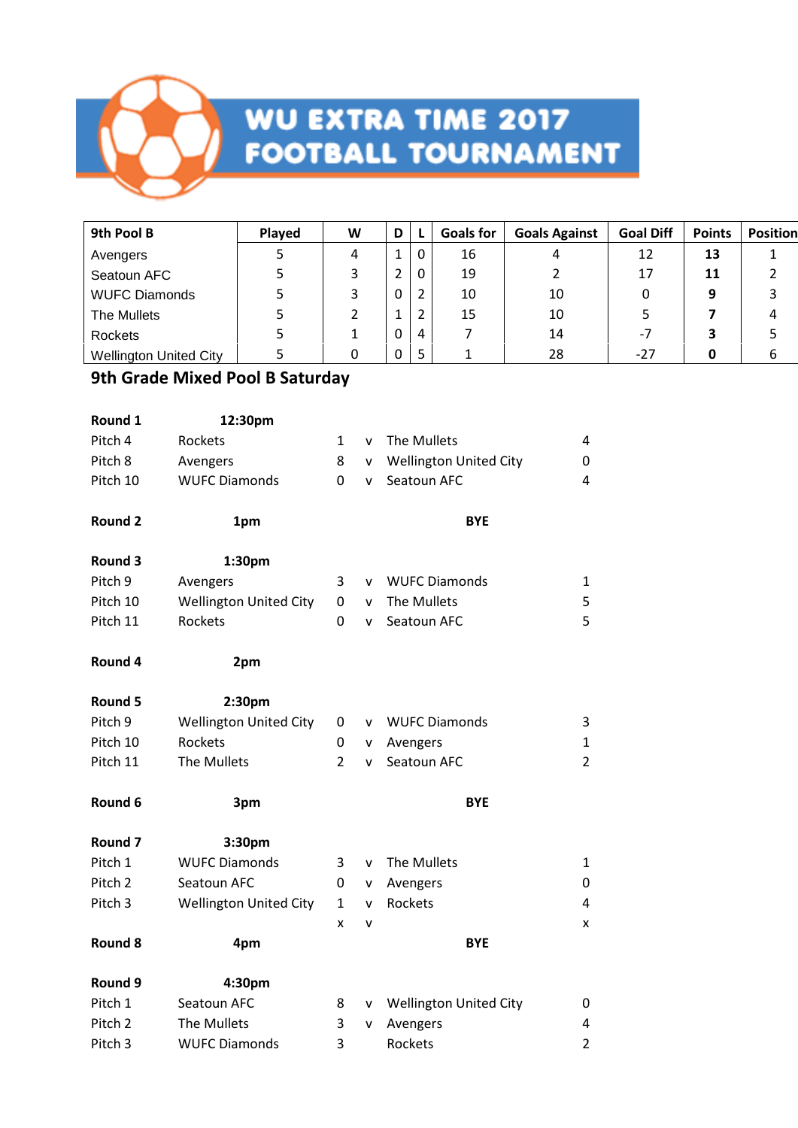

| 9th Pool B                    | <b>Played</b> | W | D |          | <b>Goals for</b> | <b>Goals Against</b> | <b>Goal Diff</b> | <b>Points</b> | Position |
|-------------------------------|---------------|---|---|----------|------------------|----------------------|------------------|---------------|----------|
| Avengers                      |               | 4 |   | $\Omega$ | 16               |                      | 12               | 13            |          |
| Seatoun AFC                   |               | 3 |   | $\Omega$ | 19               |                      | 17               | 11            |          |
| <b>WUFC Diamonds</b>          | 5             | 3 | 0 | 2        | 10               | 10                   |                  | 9             |          |
| The Mullets                   | כ             |   |   |          | 15               | 10                   |                  |               | 4        |
| Rockets                       |               |   | 0 | 4        |                  | 14                   | -7               | 3             |          |
| <b>Wellington United City</b> |               |   |   | 5        |                  | 28                   | -27              | 0             |          |

### **9th Grade Mixed Pool B Saturday**

| Round 1            | 12:30pm                       |                |   |                               |                |
|--------------------|-------------------------------|----------------|---|-------------------------------|----------------|
| Pitch 4            | Rockets                       | 1              | v | The Mullets                   | 4              |
| Pitch 8            | Avengers                      | 8              | v | <b>Wellington United City</b> | 0              |
| Pitch 10           | <b>WUFC Diamonds</b>          | 0              | v | Seatoun AFC                   | $\overline{4}$ |
| <b>Round 2</b>     | 1pm                           |                |   | <b>BYE</b>                    |                |
| Round 3            | 1:30pm                        |                |   |                               |                |
| Pitch 9            | Avengers                      | 3              | v | <b>WUFC Diamonds</b>          | $\mathbf{1}$   |
| Pitch 10           | <b>Wellington United City</b> | 0              | v | The Mullets                   | 5              |
| Pitch 11           | Rockets                       | 0              | v | Seatoun AFC                   | 5              |
| Round 4            | 2pm                           |                |   |                               |                |
| Round 5            | 2:30pm                        |                |   |                               |                |
| Pitch 9            | <b>Wellington United City</b> | 0              | v | <b>WUFC Diamonds</b>          | 3              |
| Pitch 10           | Rockets                       | 0              | v | Avengers                      | $\mathbf{1}$   |
| Pitch 11           | The Mullets                   | $\overline{2}$ | v | Seatoun AFC                   | $\overline{2}$ |
| Round 6            | 3pm                           |                |   | <b>BYE</b>                    |                |
| <b>Round 7</b>     | 3:30pm                        |                |   |                               |                |
| Pitch 1            | <b>WUFC Diamonds</b>          | 3              | v | The Mullets                   | 1              |
| Pitch <sub>2</sub> | Seatoun AFC                   | 0              | v | Avengers                      | 0              |
| Pitch 3            | <b>Wellington United City</b> | $\mathbf{1}$   | v | Rockets                       | 4              |
|                    |                               | x              | v |                               | x              |
| <b>Round 8</b>     | 4pm                           |                |   | <b>BYE</b>                    |                |
| Round 9            | 4:30pm                        |                |   |                               |                |
| Pitch 1            | Seatoun AFC                   | 8              | ۷ | <b>Wellington United City</b> | 0              |
| Pitch <sub>2</sub> | The Mullets                   | 3              | v | Avengers                      | 4              |
| Pitch 3            | <b>WUFC Diamonds</b>          | 3              |   | Rockets                       | $\overline{2}$ |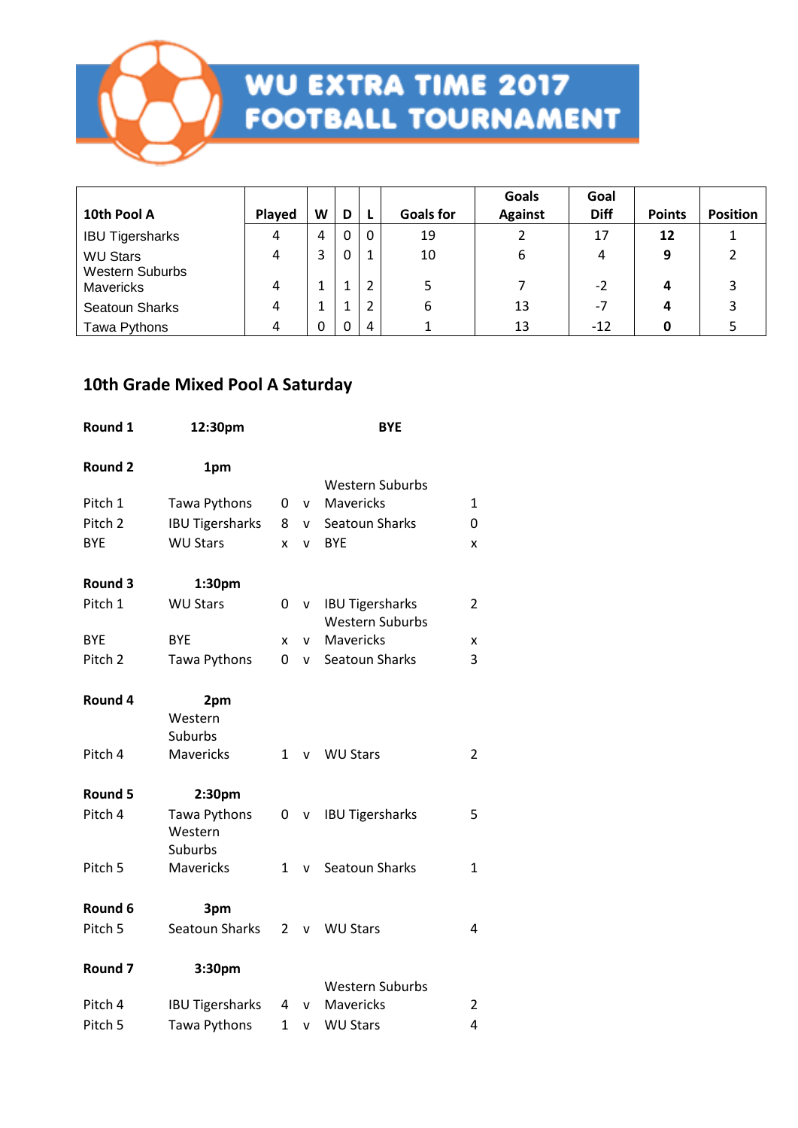

| 10th Pool A                               | Played | W  | D           |   | <b>Goals for</b> | Goals<br><b>Against</b> | Goal<br><b>Diff</b> | <b>Points</b> | <b>Position</b> |
|-------------------------------------------|--------|----|-------------|---|------------------|-------------------------|---------------------|---------------|-----------------|
| <b>IBU Tigersharks</b>                    | 4      | 4  | $\mathbf 0$ | 0 | 19               |                         | 17                  | 12            |                 |
| <b>WU Stars</b><br><b>Western Suburbs</b> | 4      | 3  | 0           |   | 10               | 6                       | 4                   | 9             |                 |
| <b>Mavericks</b>                          | 4      | T  | 1           |   |                  |                         | $-2$                | 4             |                 |
| Seatoun Sharks                            |        | J. | 1           |   | 6                | 13                      | $-7$                | 4             |                 |
| Tawa Pythons                              | 4      | 0  | 0           | 4 |                  | 13                      | $-12$               | 0             |                 |

#### **10th Grade Mixed Pool A Saturday**

| Round 1            | 12:30pm                            |              |          | <b>BYE</b>                                       |                |
|--------------------|------------------------------------|--------------|----------|--------------------------------------------------|----------------|
| <b>Round 2</b>     | 1pm                                |              |          |                                                  |                |
|                    |                                    |              |          | <b>Western Suburbs</b>                           |                |
| Pitch 1            | Tawa Pythons                       | 0            | v.       | Mavericks                                        | $\mathbf{1}$   |
| Pitch <sub>2</sub> | <b>IBU Tigersharks</b>             | 8            | <b>V</b> | Seatoun Sharks                                   | 0              |
| <b>BYE</b>         | <b>WU Stars</b>                    | x            | v        | <b>BYE</b>                                       | X              |
| Round 3            | 1:30pm                             |              |          |                                                  |                |
| Pitch 1            | <b>WU Stars</b>                    | 0            | V.       | <b>IBU Tigersharks</b><br><b>Western Suburbs</b> | $\overline{c}$ |
| <b>BYE</b>         | <b>BYE</b>                         | x            | <b>V</b> | Mavericks                                        | X              |
| Pitch <sub>2</sub> | Tawa Pythons                       | 0            | V        | Seatoun Sharks                                   | 3              |
| Round 4            | 2pm                                |              |          |                                                  |                |
|                    | Western                            |              |          |                                                  |                |
|                    | Suburbs                            |              |          |                                                  |                |
| Pitch 4            | <b>Mavericks</b>                   | $\mathbf{1}$ | v        | <b>WU Stars</b>                                  | $\overline{2}$ |
| Round 5            | 2:30pm                             |              |          |                                                  |                |
| Pitch 4            | Tawa Pythons<br>Western<br>Suburbs | 0            | v        | <b>IBU Tigersharks</b>                           | 5              |
| Pitch 5            | <b>Mavericks</b>                   | $\mathbf{1}$ |          | v Seatoun Sharks                                 | $\mathbf{1}$   |
| Round 6            | 3pm                                |              |          |                                                  |                |
| Pitch 5            | Seatoun Sharks                     | 2            | v        | <b>WU Stars</b>                                  | 4              |
| Round <sub>7</sub> | 3:30pm                             |              |          |                                                  |                |
| Pitch 4            | <b>IBU Tigersharks</b>             | 4            |          | <b>Western Suburbs</b><br>Mavericks              | $\overline{c}$ |
|                    |                                    |              | v.       |                                                  |                |
| Pitch <sub>5</sub> | Tawa Pythons                       | $\mathbf 1$  | V        | <b>WU Stars</b>                                  | $\overline{4}$ |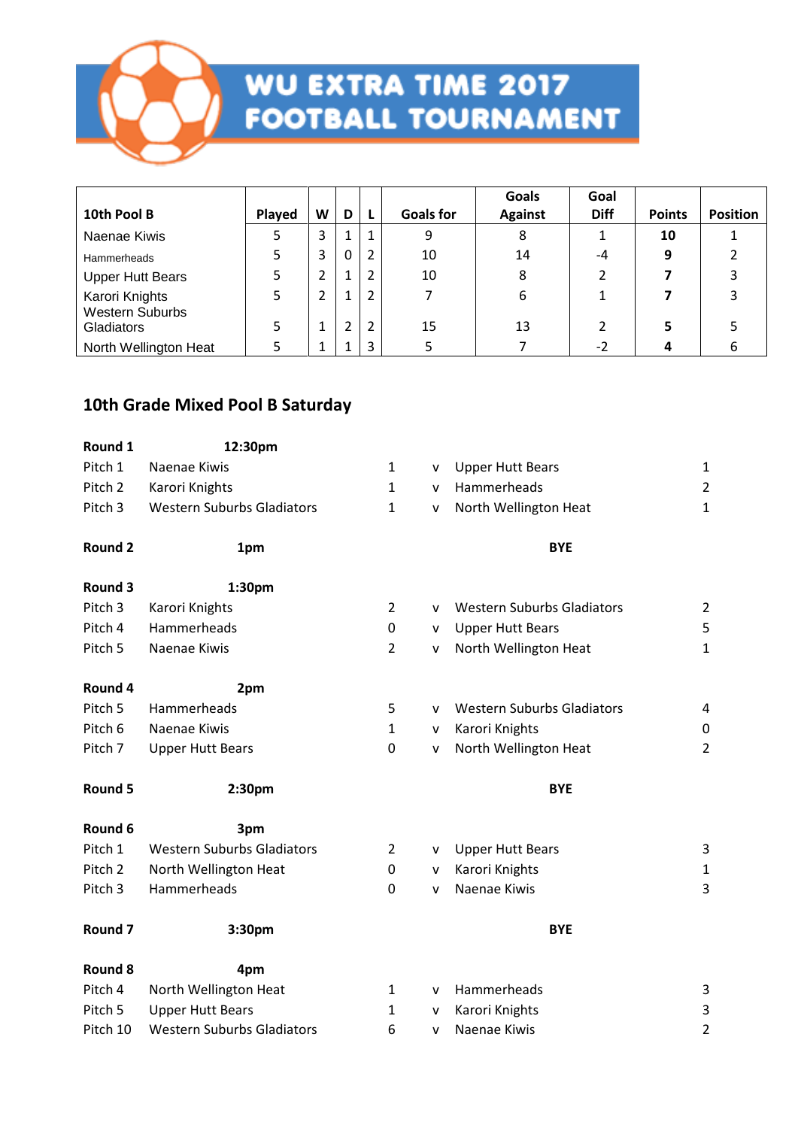

| 10th Pool B                              | Played | W       | D            |   | <b>Goals for</b> | Goals<br><b>Against</b> | Goal<br><b>Diff</b> | <b>Points</b> | <b>Position</b> |
|------------------------------------------|--------|---------|--------------|---|------------------|-------------------------|---------------------|---------------|-----------------|
| Naenae Kiwis                             |        | 3       |              | 1 | 9                | 8                       |                     | 10            |                 |
| <b>Hammerheads</b>                       | 5      | 3       | $\mathbf{0}$ | 2 | 10               | 14                      | $-4$                | 9             |                 |
| <b>Upper Hutt Bears</b>                  |        | 2       |              |   | 10               | 8                       |                     |               |                 |
| Karori Knights<br><b>Western Suburbs</b> | 5      | 2       |              |   |                  | 6                       |                     |               |                 |
| <b>Gladiators</b>                        | 5      | 1       | 2            | 2 | 15               | 13                      |                     |               |                 |
| North Wellington Heat                    |        | ٠<br>J. |              | 3 |                  |                         | $-2$                | 4             |                 |

### **10th Grade Mixed Pool B Saturday**

| Round 1            | 12:30pm                           |                |   |                                   |                |
|--------------------|-----------------------------------|----------------|---|-----------------------------------|----------------|
| Pitch 1            | Naenae Kiwis                      | $\mathbf{1}$   | v | <b>Upper Hutt Bears</b>           | $\mathbf 1$    |
| Pitch <sub>2</sub> | Karori Knights                    | $\mathbf{1}$   | v | Hammerheads                       | $\overline{2}$ |
| Pitch <sub>3</sub> | <b>Western Suburbs Gladiators</b> | $\mathbf{1}$   | v | North Wellington Heat             | $\mathbf{1}$   |
| Round 2            | 1pm                               |                |   | <b>BYE</b>                        |                |
| Round 3            | 1:30pm                            |                |   |                                   |                |
| Pitch 3            | Karori Knights                    | $\overline{2}$ | v | <b>Western Suburbs Gladiators</b> | $\overline{2}$ |
| Pitch 4            | Hammerheads                       | 0              | v | <b>Upper Hutt Bears</b>           | 5              |
| Pitch 5            | Naenae Kiwis                      | $\overline{2}$ | v | North Wellington Heat             | $\mathbf{1}$   |
| Round 4            | 2pm                               |                |   |                                   |                |
| Pitch 5            | Hammerheads                       | 5              | v | <b>Western Suburbs Gladiators</b> | 4              |
| Pitch 6            | Naenae Kiwis                      | $\mathbf{1}$   | v | Karori Knights                    | 0              |
| Pitch 7            | <b>Upper Hutt Bears</b>           | 0              | v | North Wellington Heat             | $\overline{2}$ |
| Round 5            | 2:30pm                            |                |   | <b>BYE</b>                        |                |
| Round 6            | 3pm                               |                |   |                                   |                |
| Pitch 1            | <b>Western Suburbs Gladiators</b> | 2              | v | <b>Upper Hutt Bears</b>           | 3              |
| Pitch 2            | North Wellington Heat             | 0              | v | Karori Knights                    | $\mathbf{1}$   |
| Pitch 3            | Hammerheads                       | 0              | v | Naenae Kiwis                      | 3              |
| Round <sub>7</sub> | 3:30pm                            |                |   | <b>BYE</b>                        |                |
| <b>Round 8</b>     | 4pm                               |                |   |                                   |                |
| Pitch 4            | North Wellington Heat             | $\mathbf{1}$   | v | Hammerheads                       | 3              |
| Pitch 5            | <b>Upper Hutt Bears</b>           | 1              | v | Karori Knights                    | 3              |
| Pitch 10           | <b>Western Suburbs Gladiators</b> | 6              | v | Naenae Kiwis                      | $\overline{2}$ |